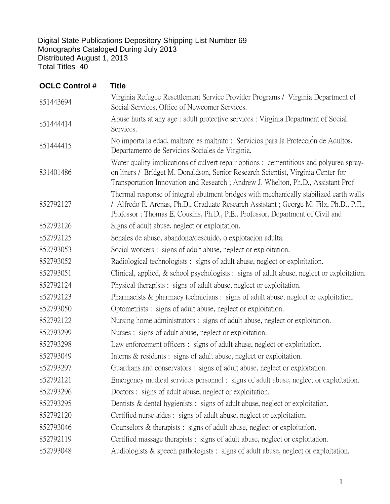Digital State Publications Depository Shipping List Number 69 Monographs Cataloged During July 2013 Distributed August 1, 2013 Total Titles 40

| <b>OCLC Control #</b> | <b>Title</b>                                                                                                                                                                                                                                                     |
|-----------------------|------------------------------------------------------------------------------------------------------------------------------------------------------------------------------------------------------------------------------------------------------------------|
| 851443694             | Virginia Refugee Resettlement Service Provider Programs / Virginia Department of<br>Social Services, Office of Newcomer Services.                                                                                                                                |
| 851444414             | Abuse hurts at any age : adult protective services : Virginia Department of Social<br>Services.                                                                                                                                                                  |
| 851444415             | No importa la edad, maltrato es maltrato : Servicios para la Protección de Adultos,<br>Departamento de Servicios Sociales de Virginia.                                                                                                                           |
| 831401486             | Water quality implications of culvert repair options : cementitious and polyurea spray-<br>on liners / Bridget M. Donaldson, Senior Research Scientist, Virginia Center for<br>Transportation Innovation and Research; Andrew J. Whelton, Ph.D., Assistant Prof  |
| 852792127             | Thermal response of integral abutment bridges with mechanically stabilized earth walls<br>/ Alfredo E. Arenas, Ph.D., Graduate Research Assistant; George M. Filz, Ph.D., P.E.,<br>Professor; Thomas E. Cousins, Ph.D., P.E., Professor, Department of Civil and |
| 852792126             | Signs of adult abuse, neglect or exploitation.                                                                                                                                                                                                                   |
| 852792125             | Senales de abuso, abandono/descuido, o explotacion adulta.                                                                                                                                                                                                       |
| 852793053             | Social workers: signs of adult abuse, neglect or exploitation.                                                                                                                                                                                                   |
| 852793052             | Radiological technologists: signs of adult abuse, neglect or exploitation.                                                                                                                                                                                       |
| 852793051             | Clinical, applied, $\&$ school psychologists : signs of adult abuse, neglect or exploitation.                                                                                                                                                                    |
| 852792124             | Physical therapists : signs of adult abuse, neglect or exploitation.                                                                                                                                                                                             |
| 852792123             | Pharmacists $\&$ pharmacy technicians : signs of adult abuse, neglect or exploitation.                                                                                                                                                                           |
| 852793050             | Optometrists : signs of adult abuse, neglect or exploitation.                                                                                                                                                                                                    |
| 852792122             | Nursing home administrators : signs of adult abuse, neglect or exploitation.                                                                                                                                                                                     |
| 852793299             | Nurses : signs of adult abuse, neglect or exploitation.                                                                                                                                                                                                          |
| 852793298             | Law enforcement officers: signs of adult abuse, neglect or exploitation.                                                                                                                                                                                         |
| 852793049             | Interns & residents : signs of adult abuse, neglect or exploitation.                                                                                                                                                                                             |
| 852793297             | Guardians and conservators : signs of adult abuse, neglect or exploitation.                                                                                                                                                                                      |
| 852792121             | Emergency medical services personnel : signs of adult abuse, neglect or exploitation.                                                                                                                                                                            |
| 852793296             | Doctors: signs of adult abuse, neglect or exploitation.                                                                                                                                                                                                          |
| 852793295             | Dentists $\&$ dental hygienists : signs of adult abuse, neglect or exploitation.                                                                                                                                                                                 |
| 852792120             | Certified nurse aides: signs of adult abuse, neglect or exploitation.                                                                                                                                                                                            |
| 852793046             | Counselors $\&$ therapists : signs of adult abuse, neglect or exploitation.                                                                                                                                                                                      |
| 852792119             | Certified massage therapists : signs of adult abuse, neglect or exploitation.                                                                                                                                                                                    |
| 852793048             | Audiologists & speech pathologists : signs of adult abuse, neglect or exploitation.                                                                                                                                                                              |